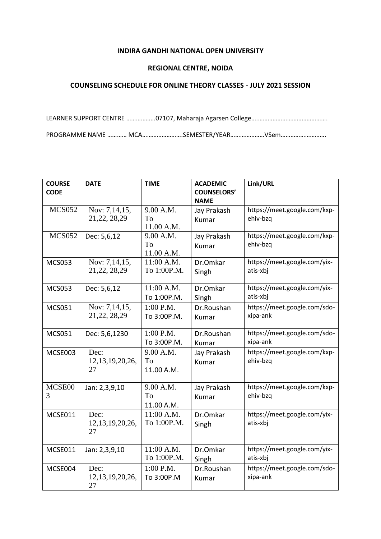## **INDIRA GANDHI NATIONAL OPEN UNIVERSITY**

## **REGIONAL CENTRE, NOIDA**

## **COUNSELING SCHEDULE FOR ONLINE THEORY CLASSES - JULY 2021 SESSION**

LEARNER SUPPORT CENTRE ………………07107, Maharaja Agarsen College….……………………………………. PROGRAMME NAME ………… MCA…………………….SEMESTER/YEAR…………………VSem……………………….

| <b>COURSE</b><br><b>CODE</b> | <b>DATE</b>                       | <b>TIME</b>                   | <b>ACADEMIC</b><br><b>COUNSELORS'</b> | Link/URL                                 |
|------------------------------|-----------------------------------|-------------------------------|---------------------------------------|------------------------------------------|
|                              |                                   |                               | <b>NAME</b>                           |                                          |
| <b>MCS052</b>                | Nov: 7,14,15,<br>21, 22, 28, 29   | 9.00 A.M.<br>To<br>11.00 A.M. | Jay Prakash<br>Kumar                  | https://meet.google.com/kxp-<br>ehiv-bzq |
| <b>MCS052</b>                | Dec: 5,6,12                       | 9.00 A.M.<br>To<br>11.00 A.M. | Jay Prakash<br>Kumar                  | https://meet.google.com/kxp-<br>ehiv-bzq |
| <b>MCS053</b>                | Nov: 7,14,15,<br>21, 22, 28, 29   | 11:00 A.M.<br>To 1:00P.M.     | Dr.Omkar<br>Singh                     | https://meet.google.com/yix-<br>atis-xbj |
| <b>MCS053</b>                | Dec: 5,6,12                       | 11:00 A.M.<br>To 1:00P.M.     | Dr.Omkar<br>Singh                     | https://meet.google.com/yix-<br>atis-xbj |
| <b>MCS051</b>                | Nov: 7,14,15,<br>21, 22, 28, 29   | $1:00$ P.M.<br>To 3:00P.M.    | Dr.Roushan<br>Kumar                   | https://meet.google.com/sdo-<br>xipa-ank |
| <b>MCS051</b>                | Dec: 5,6,1230                     | 1:00 P.M.<br>To 3:00P.M.      | Dr.Roushan<br>Kumar                   | https://meet.google.com/sdo-<br>xipa-ank |
| MCSE003                      | Dec:<br>12, 13, 19, 20, 26,<br>27 | 9.00 A.M.<br>To<br>11.00 A.M. | Jay Prakash<br>Kumar                  | https://meet.google.com/kxp-<br>ehiv-bza |
| MCSE00<br>3                  | Jan: 2,3,9,10                     | 9.00 A.M.<br>To<br>11.00 A.M. | Jay Prakash<br>Kumar                  | https://meet.google.com/kxp-<br>ehiv-bzq |
| MCSE011                      | Dec:<br>12, 13, 19, 20, 26,<br>27 | 11:00 A.M.<br>To 1:00P.M.     | Dr.Omkar<br>Singh                     | https://meet.google.com/yix-<br>atis-xbj |
| MCSE011                      | Jan: 2,3,9,10                     | 11:00 A.M.<br>To 1:00P.M.     | Dr.Omkar<br>Singh                     | https://meet.google.com/yix-<br>atis-xbj |
| MCSE004                      | Dec:<br>12, 13, 19, 20, 26,<br>27 | $1:00$ P.M.<br>To 3:00P.M     | Dr.Roushan<br>Kumar                   | https://meet.google.com/sdo-<br>xipa-ank |